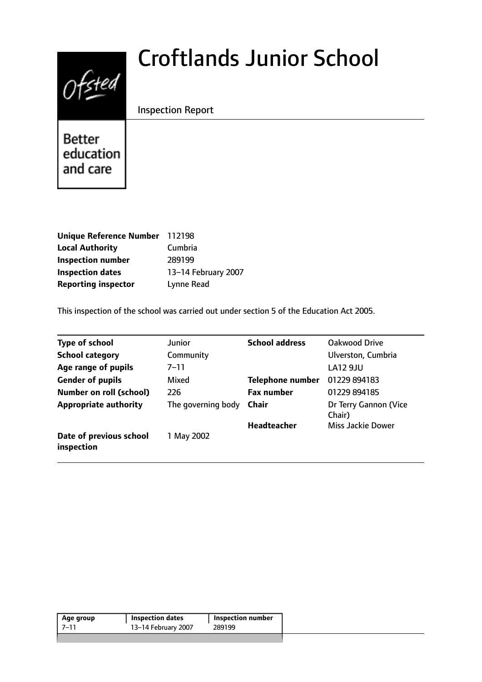# $0$ fsted

# Croftlands Junior School

# Inspection Report

Better education and care

| Unique Reference Number 112198 |                     |
|--------------------------------|---------------------|
| <b>Local Authority</b>         | Cumbria             |
| <b>Inspection number</b>       | 289199              |
| <b>Inspection dates</b>        | 13-14 February 2007 |
| <b>Reporting inspector</b>     | Lynne Read          |

This inspection of the school was carried out under section 5 of the Education Act 2005.

| <b>Type of school</b>                 | Junior             | <b>School address</b>   | Oakwood Drive                   |
|---------------------------------------|--------------------|-------------------------|---------------------------------|
| <b>School category</b>                | Community          |                         | Ulverston, Cumbria              |
| Age range of pupils                   | $7 - 11$           |                         | <b>LA12 9JU</b>                 |
| <b>Gender of pupils</b>               | Mixed              | <b>Telephone number</b> | 01229 894183                    |
| <b>Number on roll (school)</b>        | 226                | <b>Fax number</b>       | 01229 894185                    |
| <b>Appropriate authority</b>          | The governing body | Chair                   | Dr Terry Gannon (Vice<br>Chair) |
|                                       |                    | <b>Headteacher</b>      | Miss Jackie Dower               |
| Date of previous school<br>inspection | 1 May 2002         |                         |                                 |

| Age group | Inspection dates    | Inspection number |
|-----------|---------------------|-------------------|
| -7–11     | 13-14 February 2007 | 289199            |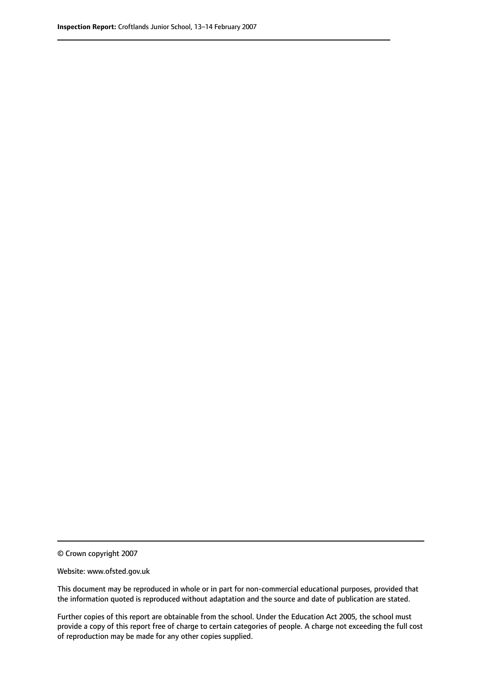© Crown copyright 2007

Website: www.ofsted.gov.uk

This document may be reproduced in whole or in part for non-commercial educational purposes, provided that the information quoted is reproduced without adaptation and the source and date of publication are stated.

Further copies of this report are obtainable from the school. Under the Education Act 2005, the school must provide a copy of this report free of charge to certain categories of people. A charge not exceeding the full cost of reproduction may be made for any other copies supplied.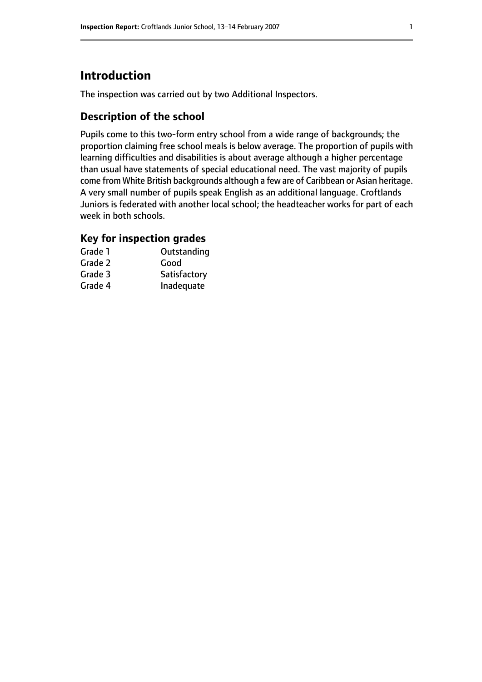# **Introduction**

The inspection was carried out by two Additional Inspectors.

### **Description of the school**

Pupils come to this two-form entry school from a wide range of backgrounds; the proportion claiming free school meals is below average. The proportion of pupils with learning difficulties and disabilities is about average although a higher percentage than usual have statements of special educational need. The vast majority of pupils come from White British backgrounds although a few are of Caribbean or Asian heritage. A very small number of pupils speak English as an additional language. Croftlands Juniors is federated with another local school; the headteacher works for part of each week in both schools.

# **Key for inspection grades**

| Grade 1 | Outstanding  |
|---------|--------------|
| Grade 2 | Good         |
| Grade 3 | Satisfactory |
| Grade 4 | Inadequate   |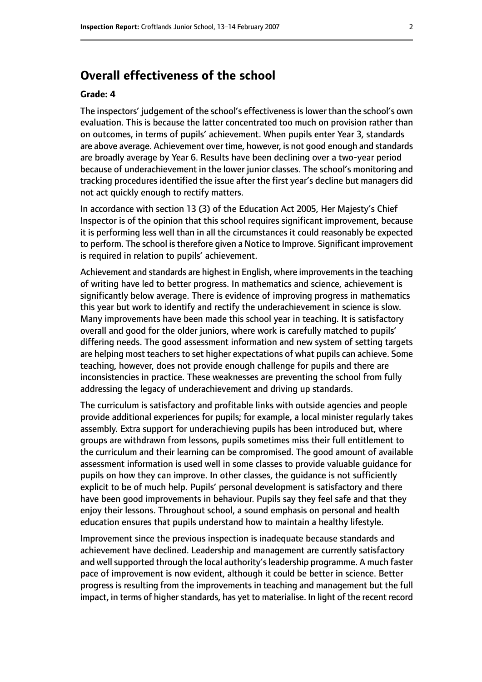# **Overall effectiveness of the school**

#### **Grade: 4**

The inspectors' judgement of the school's effectivenessislower than the school's own evaluation. This is because the latter concentrated too much on provision rather than on outcomes, in terms of pupils' achievement. When pupils enter Year 3, standards are above average. Achievement over time, however, is not good enough and standards are broadly average by Year 6. Results have been declining over a two-year period because of underachievement in the lower junior classes. The school's monitoring and tracking procedures identified the issue after the first year's decline but managers did not act quickly enough to rectify matters.

In accordance with section 13 (3) of the Education Act 2005, Her Majesty's Chief Inspector is of the opinion that this school requires significant improvement, because it is performing less well than in all the circumstances it could reasonably be expected to perform. The school is therefore given a Notice to Improve. Significant improvement is required in relation to pupils' achievement.

Achievement and standards are highest in English, where improvements in the teaching of writing have led to better progress. In mathematics and science, achievement is significantly below average. There is evidence of improving progress in mathematics this year but work to identify and rectify the underachievement in science is slow. Many improvements have been made this school year in teaching. It is satisfactory overall and good for the older juniors, where work is carefully matched to pupils' differing needs. The good assessment information and new system of setting targets are helping most teachers to set higher expectations of what pupils can achieve. Some teaching, however, does not provide enough challenge for pupils and there are inconsistencies in practice. These weaknesses are preventing the school from fully addressing the legacy of underachievement and driving up standards.

The curriculum is satisfactory and profitable links with outside agencies and people provide additional experiences for pupils; for example, a local minister regularly takes assembly. Extra support for underachieving pupils has been introduced but, where groups are withdrawn from lessons, pupils sometimes miss their full entitlement to the curriculum and their learning can be compromised. The good amount of available assessment information is used well in some classes to provide valuable guidance for pupils on how they can improve. In other classes, the guidance is not sufficiently explicit to be of much help. Pupils' personal development is satisfactory and there have been good improvements in behaviour. Pupils say they feel safe and that they enjoy their lessons. Throughout school, a sound emphasis on personal and health education ensures that pupils understand how to maintain a healthy lifestyle.

Improvement since the previous inspection is inadequate because standards and achievement have declined. Leadership and management are currently satisfactory and well supported through the local authority's leadership programme. A much faster pace of improvement is now evident, although it could be better in science. Better progress is resulting from the improvements in teaching and management but the full impact, in terms of higher standards, has yet to materialise. In light of the recent record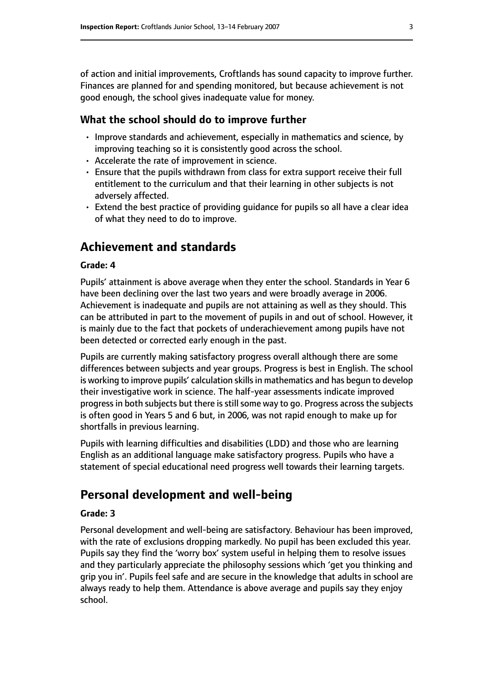of action and initial improvements, Croftlands has sound capacity to improve further. Finances are planned for and spending monitored, but because achievement is not good enough, the school gives inadequate value for money.

#### **What the school should do to improve further**

- Improve standards and achievement, especially in mathematics and science, by improving teaching so it is consistently good across the school.
- Accelerate the rate of improvement in science.
- Ensure that the pupils withdrawn from class for extra support receive their full entitlement to the curriculum and that their learning in other subjects is not adversely affected.
- Extend the best practice of providing guidance for pupils so all have a clear idea of what they need to do to improve.

# **Achievement and standards**

#### **Grade: 4**

Pupils' attainment is above average when they enter the school. Standards in Year 6 have been declining over the last two years and were broadly average in 2006. Achievement is inadequate and pupils are not attaining as well as they should. This can be attributed in part to the movement of pupils in and out of school. However, it is mainly due to the fact that pockets of underachievement among pupils have not been detected or corrected early enough in the past.

Pupils are currently making satisfactory progress overall although there are some differences between subjects and year groups. Progress is best in English. The school is working to improve pupils' calculation skills in mathematics and has begun to develop their investigative work in science. The half-year assessments indicate improved progressin both subjects but there isstillsome way to go. Progress acrossthe subjects is often good in Years 5 and 6 but, in 2006, was not rapid enough to make up for shortfalls in previous learning.

Pupils with learning difficulties and disabilities (LDD) and those who are learning English as an additional language make satisfactory progress. Pupils who have a statement of special educational need progress well towards their learning targets.

# **Personal development and well-being**

#### **Grade: 3**

Personal development and well-being are satisfactory. Behaviour has been improved, with the rate of exclusions dropping markedly. No pupil has been excluded this year. Pupils say they find the 'worry box' system useful in helping them to resolve issues and they particularly appreciate the philosophy sessions which 'get you thinking and grip you in'. Pupils feel safe and are secure in the knowledge that adults in school are always ready to help them. Attendance is above average and pupils say they enjoy school.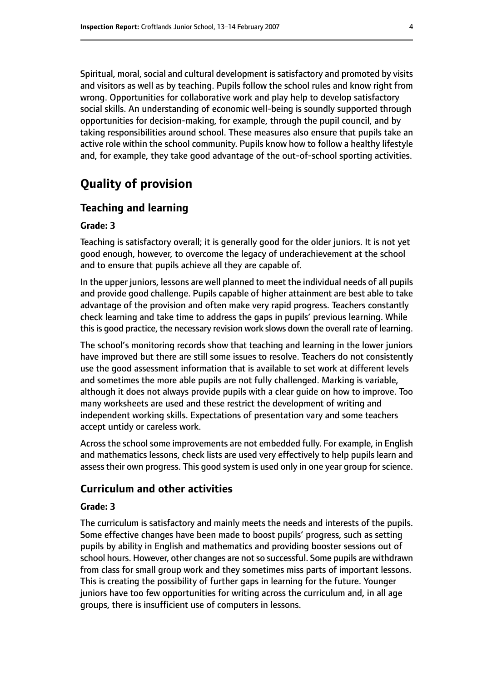Spiritual, moral, social and cultural development is satisfactory and promoted by visits and visitors as well as by teaching. Pupils follow the school rules and know right from wrong. Opportunities for collaborative work and play help to develop satisfactory social skills. An understanding of economic well-being is soundly supported through opportunities for decision-making, for example, through the pupil council, and by taking responsibilities around school. These measures also ensure that pupils take an active role within the school community. Pupils know how to follow a healthy lifestyle and, for example, they take good advantage of the out-of-school sporting activities.

# **Quality of provision**

#### **Teaching and learning**

#### **Grade: 3**

Teaching is satisfactory overall; it is generally good for the older juniors. It is not yet good enough, however, to overcome the legacy of underachievement at the school and to ensure that pupils achieve all they are capable of.

In the upper juniors, lessons are well planned to meet the individual needs of all pupils and provide good challenge. Pupils capable of higher attainment are best able to take advantage of the provision and often make very rapid progress. Teachers constantly check learning and take time to address the gaps in pupils' previous learning. While this is good practice, the necessary revision work slows down the overall rate of learning.

The school's monitoring records show that teaching and learning in the lower juniors have improved but there are still some issues to resolve. Teachers do not consistently use the good assessment information that is available to set work at different levels and sometimes the more able pupils are not fully challenged. Marking is variable, although it does not always provide pupils with a clear guide on how to improve. Too many worksheets are used and these restrict the development of writing and independent working skills. Expectations of presentation vary and some teachers accept untidy or careless work.

Across the school some improvements are not embedded fully. For example, in English and mathematics lessons, check lists are used very effectively to help pupils learn and assess their own progress. This good system is used only in one year group for science.

#### **Curriculum and other activities**

#### **Grade: 3**

The curriculum is satisfactory and mainly meets the needs and interests of the pupils. Some effective changes have been made to boost pupils' progress, such as setting pupils by ability in English and mathematics and providing booster sessions out of school hours. However, other changes are not so successful. Some pupils are withdrawn from class for small group work and they sometimes miss parts of important lessons. This is creating the possibility of further gaps in learning for the future. Younger juniors have too few opportunities for writing across the curriculum and, in all age groups, there is insufficient use of computers in lessons.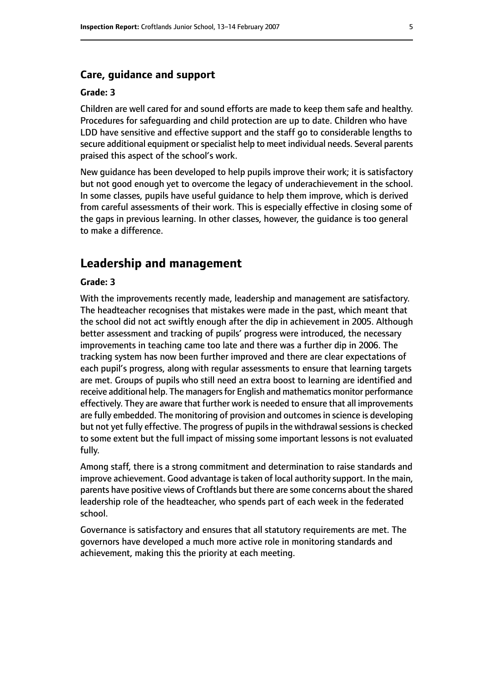#### **Care, guidance and support**

#### **Grade: 3**

Children are well cared for and sound efforts are made to keep them safe and healthy. Procedures for safeguarding and child protection are up to date. Children who have LDD have sensitive and effective support and the staff go to considerable lengths to secure additional equipment or specialist help to meet individual needs. Several parents praised this aspect of the school's work.

New guidance has been developed to help pupils improve their work; it is satisfactory but not good enough yet to overcome the legacy of underachievement in the school. In some classes, pupils have useful guidance to help them improve, which is derived from careful assessments of their work. This is especially effective in closing some of the gaps in previous learning. In other classes, however, the guidance is too general to make a difference.

#### **Leadership and management**

#### **Grade: 3**

With the improvements recently made, leadership and management are satisfactory. The headteacher recognises that mistakes were made in the past, which meant that the school did not act swiftly enough after the dip in achievement in 2005. Although better assessment and tracking of pupils' progress were introduced, the necessary improvements in teaching came too late and there was a further dip in 2006. The tracking system has now been further improved and there are clear expectations of each pupil's progress, along with regular assessments to ensure that learning targets are met. Groups of pupils who still need an extra boost to learning are identified and receive additional help. The managers for English and mathematics monitor performance effectively. They are aware that further work is needed to ensure that all improvements are fully embedded. The monitoring of provision and outcomes in science is developing but not yet fully effective. The progress of pupils in the withdrawal sessions is checked to some extent but the full impact of missing some important lessons is not evaluated fully.

Among staff, there is a strong commitment and determination to raise standards and improve achievement. Good advantage is taken of local authority support. In the main, parents have positive views of Croftlands but there are some concerns about the shared leadership role of the headteacher, who spends part of each week in the federated school.

Governance is satisfactory and ensures that all statutory requirements are met. The governors have developed a much more active role in monitoring standards and achievement, making this the priority at each meeting.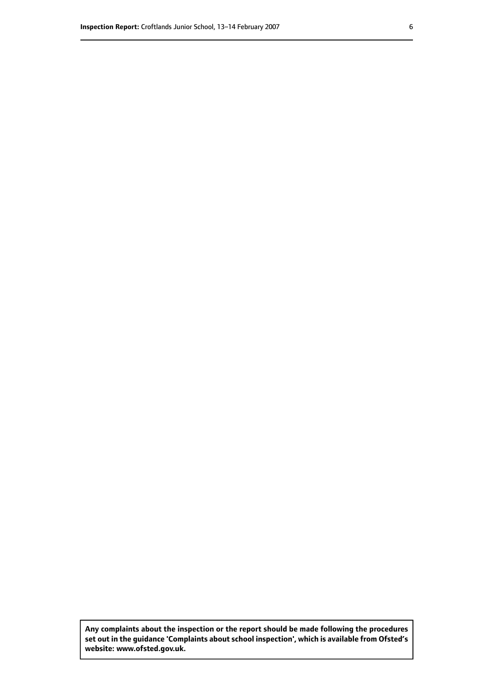**Any complaints about the inspection or the report should be made following the procedures set out inthe guidance 'Complaints about school inspection', whichis available from Ofsted's website: www.ofsted.gov.uk.**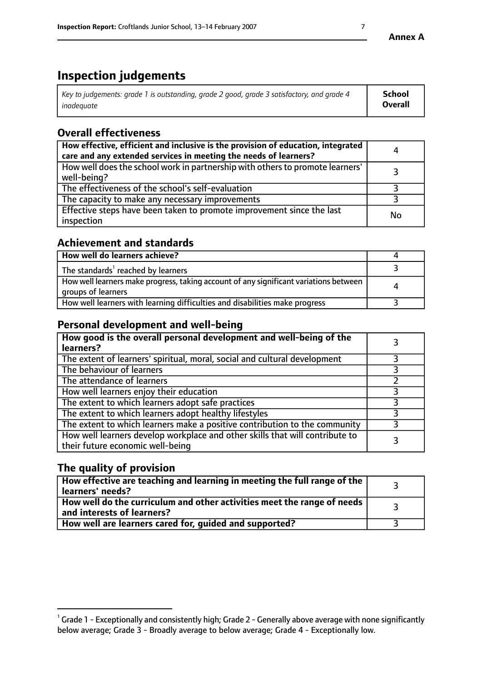# **Inspection judgements**

| Key to judgements: grade 1 is outstanding, grade 2 good, grade 3 satisfactory, and grade 4 | <b>School</b>  |
|--------------------------------------------------------------------------------------------|----------------|
| inadeauate                                                                                 | <b>Overall</b> |

# **Overall effectiveness**

| How effective, efficient and inclusive is the provision of education, integrated<br>care and any extended services in meeting the needs of learners? | 4  |
|------------------------------------------------------------------------------------------------------------------------------------------------------|----|
| How well does the school work in partnership with others to promote learners'<br>well-being?                                                         |    |
| The effectiveness of the school's self-evaluation                                                                                                    |    |
| The capacity to make any necessary improvements                                                                                                      |    |
| Effective steps have been taken to promote improvement since the last<br>inspection                                                                  | No |

# **Achievement and standards**

| How well do learners achieve?                                                                               |   |
|-------------------------------------------------------------------------------------------------------------|---|
| The standards <sup>1</sup> reached by learners                                                              |   |
| How well learners make progress, taking account of any significant variations between<br>groups of learners | 4 |
| How well learners with learning difficulties and disabilities make progress                                 |   |

# **Personal development and well-being**

| How good is the overall personal development and well-being of the<br>learners?                                  |  |
|------------------------------------------------------------------------------------------------------------------|--|
| The extent of learners' spiritual, moral, social and cultural development                                        |  |
| The behaviour of learners                                                                                        |  |
| The attendance of learners                                                                                       |  |
| How well learners enjoy their education                                                                          |  |
| The extent to which learners adopt safe practices                                                                |  |
| The extent to which learners adopt healthy lifestyles                                                            |  |
| The extent to which learners make a positive contribution to the community                                       |  |
| How well learners develop workplace and other skills that will contribute to<br>their future economic well-being |  |

# **The quality of provision**

| How effective are teaching and learning in meeting the full range of the<br>learners' needs?                        |  |
|---------------------------------------------------------------------------------------------------------------------|--|
| $\mid$ How well do the curriculum and other activities meet the range of needs $\mid$<br>and interests of learners? |  |
| How well are learners cared for, guided and supported?                                                              |  |

 $^1$  Grade 1 - Exceptionally and consistently high; Grade 2 - Generally above average with none significantly below average; Grade 3 - Broadly average to below average; Grade 4 - Exceptionally low.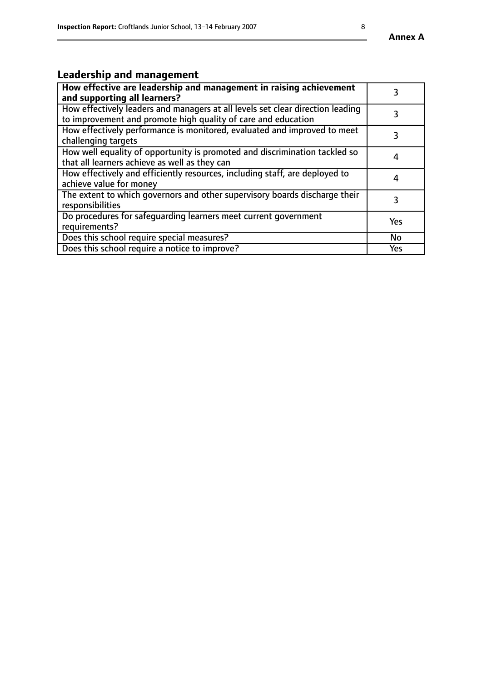# **Leadership and management**

| How effective are leadership and management in raising achievement<br>and supporting all learners?                                              |     |
|-------------------------------------------------------------------------------------------------------------------------------------------------|-----|
| How effectively leaders and managers at all levels set clear direction leading<br>to improvement and promote high quality of care and education |     |
| How effectively performance is monitored, evaluated and improved to meet<br>challenging targets                                                 | 3   |
| How well equality of opportunity is promoted and discrimination tackled so<br>that all learners achieve as well as they can                     | 4   |
| How effectively and efficiently resources, including staff, are deployed to<br>achieve value for money                                          | 4   |
| The extent to which governors and other supervisory boards discharge their<br>responsibilities                                                  | 3   |
| Do procedures for safequarding learners meet current government<br>requirements?                                                                | Yes |
| Does this school require special measures?                                                                                                      | No  |
| Does this school require a notice to improve?                                                                                                   | Yes |